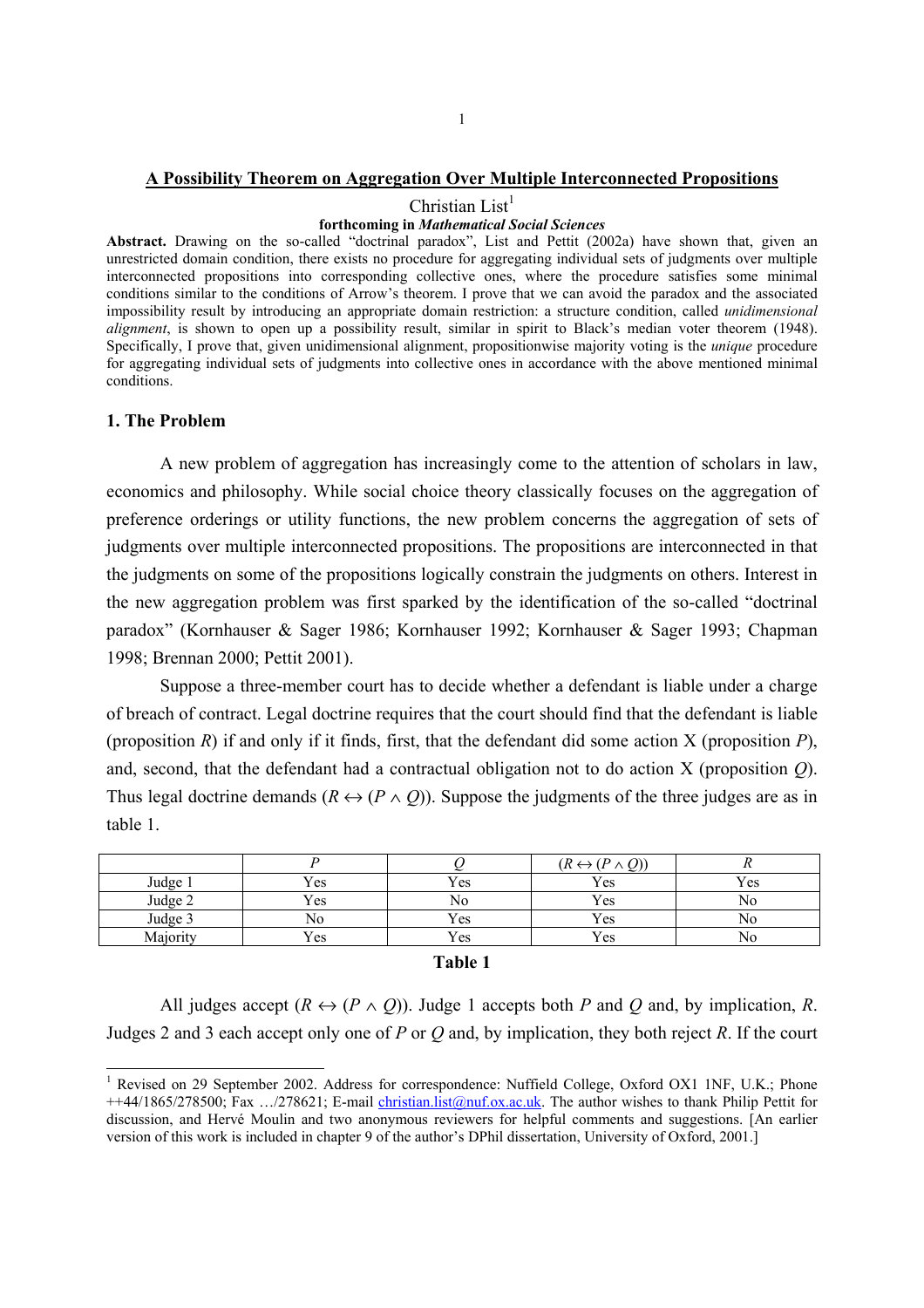# **A Possibility Theorem on Aggregation Over Multiple Interconnected Propositions**

#### Christian List $<sup>1</sup>$ </sup> **forthcoming in** *Mathematical Social Sciences*

**Abstract.** Drawing on the so-called "doctrinal paradox", List and Pettit (2002a) have shown that, given an unrestricted domain condition, there exists no procedure for aggregating individual sets of judgments over multiple interconnected propositions into corresponding collective ones, where the procedure satisfies some minimal conditions similar to the conditions of Arrow's theorem. I prove that we can avoid the paradox and the associated impossibility result by introducing an appropriate domain restriction: a structure condition, called *unidimensional alignment*, is shown to open up a possibility result, similar in spirit to Black's median voter theorem (1948). Specifically, I prove that, given unidimensional alignment, propositionwise majority voting is the *unique* procedure for aggregating individual sets of judgments into collective ones in accordance with the above mentioned minimal conditions.

# **1. The Problem**

1

A new problem of aggregation has increasingly come to the attention of scholars in law, economics and philosophy. While social choice theory classically focuses on the aggregation of preference orderings or utility functions, the new problem concerns the aggregation of sets of judgments over multiple interconnected propositions. The propositions are interconnected in that the judgments on some of the propositions logically constrain the judgments on others. Interest in the new aggregation problem was first sparked by the identification of the so-called "doctrinal paradox" (Kornhauser & Sager 1986; Kornhauser 1992; Kornhauser & Sager 1993; Chapman 1998; Brennan 2000; Pettit 2001).

Suppose a three-member court has to decide whether a defendant is liable under a charge of breach of contract. Legal doctrine requires that the court should find that the defendant is liable (proposition *R*) if and only if it finds, first, that the defendant did some action X (proposition *P*), and, second, that the defendant had a contractual obligation not to do action X (proposition *Q*). Thus legal doctrine demands ( $R \leftrightarrow (P \land Q)$ ). Suppose the judgments of the three judges are as in table 1.

| Yes<br>Yes<br>Judge <sup>1</sup><br>Yes<br>Yes<br>Judge 2<br>Yes<br>Yes<br>NO<br>Judge 3<br>Yes<br>Yes<br>No |          |          |          | $(R \leftrightarrow$ |  |
|--------------------------------------------------------------------------------------------------------------|----------|----------|----------|----------------------|--|
|                                                                                                              |          |          |          |                      |  |
|                                                                                                              |          |          |          |                      |  |
|                                                                                                              |          |          |          |                      |  |
|                                                                                                              | Majority | $v_{es}$ | $v_{es}$ | Yes                  |  |

| Ш<br>æ | m | ī. |  |
|--------|---|----|--|
|        |   |    |  |

All judges accept  $(R \leftrightarrow (P \land Q))$ . Judge 1 accepts both *P* and *Q* and, by implication, *R*. Judges 2 and 3 each accept only one of *P* or *Q* and, by implication, they both reject *R*. If the court

<sup>&</sup>lt;sup>1</sup> Revised on 29 September 2002. Address for correspondence: Nuffield College, Oxford OX1 1NF, U.K.; Phone ++44/1865/278500; Fax …/278621; E-mail christian.list@nuf.ox.ac.uk. The author wishes to thank Philip Pettit for discussion, and Hervé Moulin and two anonymous reviewers for helpful comments and suggestions. [An earlier version of this work is included in chapter 9 of the author's DPhil dissertation, University of Oxford, 2001.]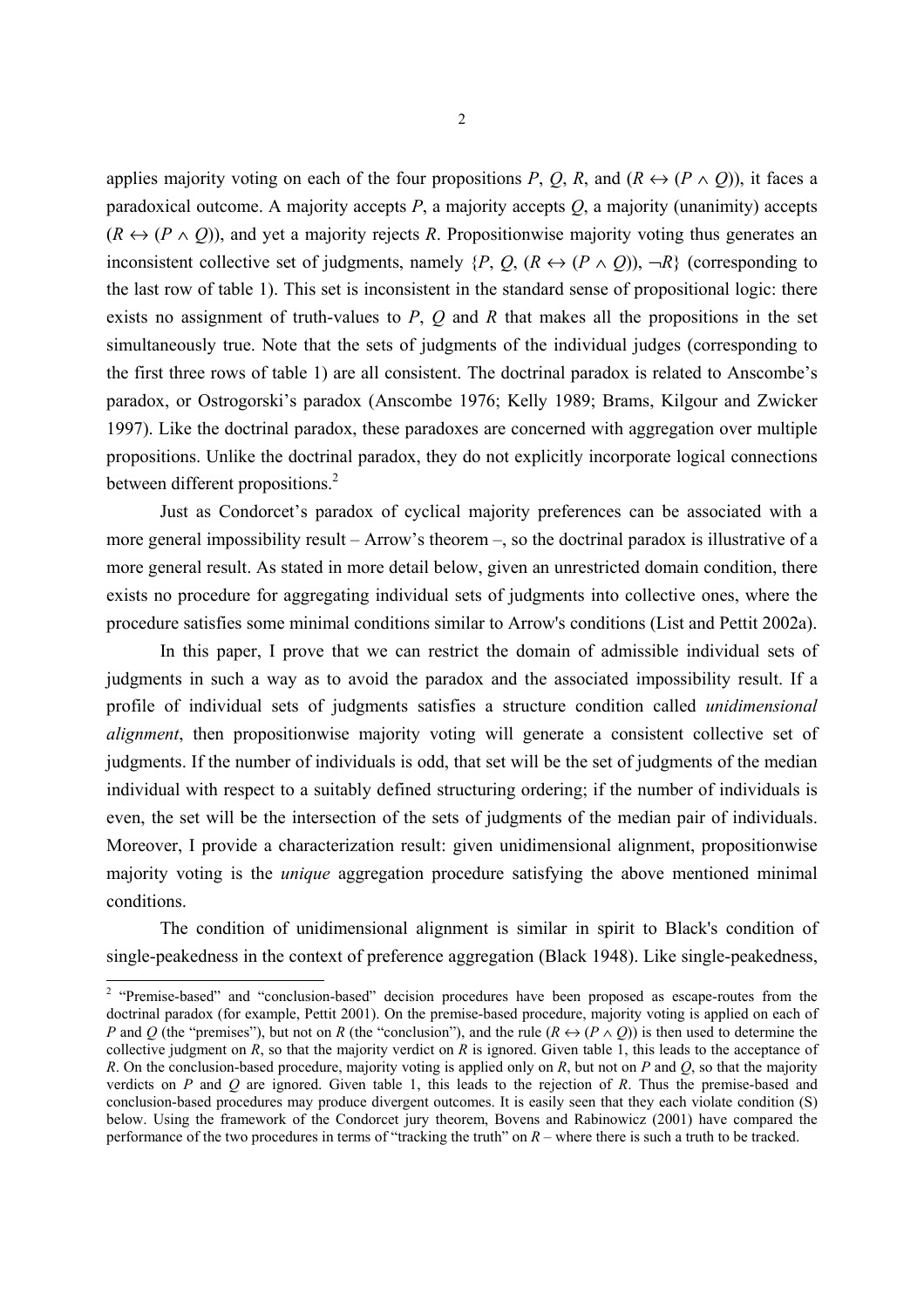applies majority voting on each of the four propositions *P*, *Q*, *R*, and  $(R \leftrightarrow (P \land Q))$ , it faces a paradoxical outcome. A majority accepts *P*, a majority accepts *Q*, a majority (unanimity) accepts  $(R \leftrightarrow (P \land Q))$ , and yet a majority rejects *R*. Propositionwise majority voting thus generates an inconsistent collective set of judgments, namely  $\{P, Q, (R \leftrightarrow (P \land Q)), \neg R\}$  (corresponding to the last row of table 1). This set is inconsistent in the standard sense of propositional logic: there exists no assignment of truth-values to *P*, *Q* and *R* that makes all the propositions in the set simultaneously true. Note that the sets of judgments of the individual judges (corresponding to the first three rows of table 1) are all consistent. The doctrinal paradox is related to Anscombe's paradox, or Ostrogorski's paradox (Anscombe 1976; Kelly 1989; Brams, Kilgour and Zwicker 1997). Like the doctrinal paradox, these paradoxes are concerned with aggregation over multiple propositions. Unlike the doctrinal paradox, they do not explicitly incorporate logical connections between different propositions.<sup>2</sup>

Just as Condorcet's paradox of cyclical majority preferences can be associated with a more general impossibility result – Arrow's theorem –, so the doctrinal paradox is illustrative of a more general result. As stated in more detail below, given an unrestricted domain condition, there exists no procedure for aggregating individual sets of judgments into collective ones, where the procedure satisfies some minimal conditions similar to Arrow's conditions (List and Pettit 2002a).

In this paper, I prove that we can restrict the domain of admissible individual sets of judgments in such a way as to avoid the paradox and the associated impossibility result. If a profile of individual sets of judgments satisfies a structure condition called *unidimensional alignment*, then propositionwise majority voting will generate a consistent collective set of judgments. If the number of individuals is odd, that set will be the set of judgments of the median individual with respect to a suitably defined structuring ordering; if the number of individuals is even, the set will be the intersection of the sets of judgments of the median pair of individuals. Moreover, I provide a characterization result: given unidimensional alignment, propositionwise majority voting is the *unique* aggregation procedure satisfying the above mentioned minimal conditions.

The condition of unidimensional alignment is similar in spirit to Black's condition of single-peakedness in the context of preference aggregation (Black 1948). Like single-peakedness,

<sup>&</sup>lt;sup>2</sup> "Premise-based" and "conclusion-based" decision procedures have been proposed as escape-routes from the doctrinal paradox (for example, Pettit 2001). On the premise-based procedure, majority voting is applied on each of *P* and *Q* (the "premises"), but not on *R* (the "conclusion"), and the rule  $(R \leftrightarrow (P \land Q))$  is then used to determine the collective judgment on  $\hat{R}$ , so that the majority verdict on  $\hat{R}$  is ignored. Given table 1, this leads to the acceptance of *R*. On the conclusion-based procedure, majority voting is applied only on *R*, but not on *P* and *Q*, so that the majority verdicts on *P* and *Q* are ignored. Given table 1, this leads to the rejection of *R*. Thus the premise-based and conclusion-based procedures may produce divergent outcomes. It is easily seen that they each violate condition (S) below. Using the framework of the Condorcet jury theorem, Bovens and Rabinowicz (2001) have compared the performance of the two procedures in terms of "tracking the truth" on *R* – where there is such a truth to be tracked.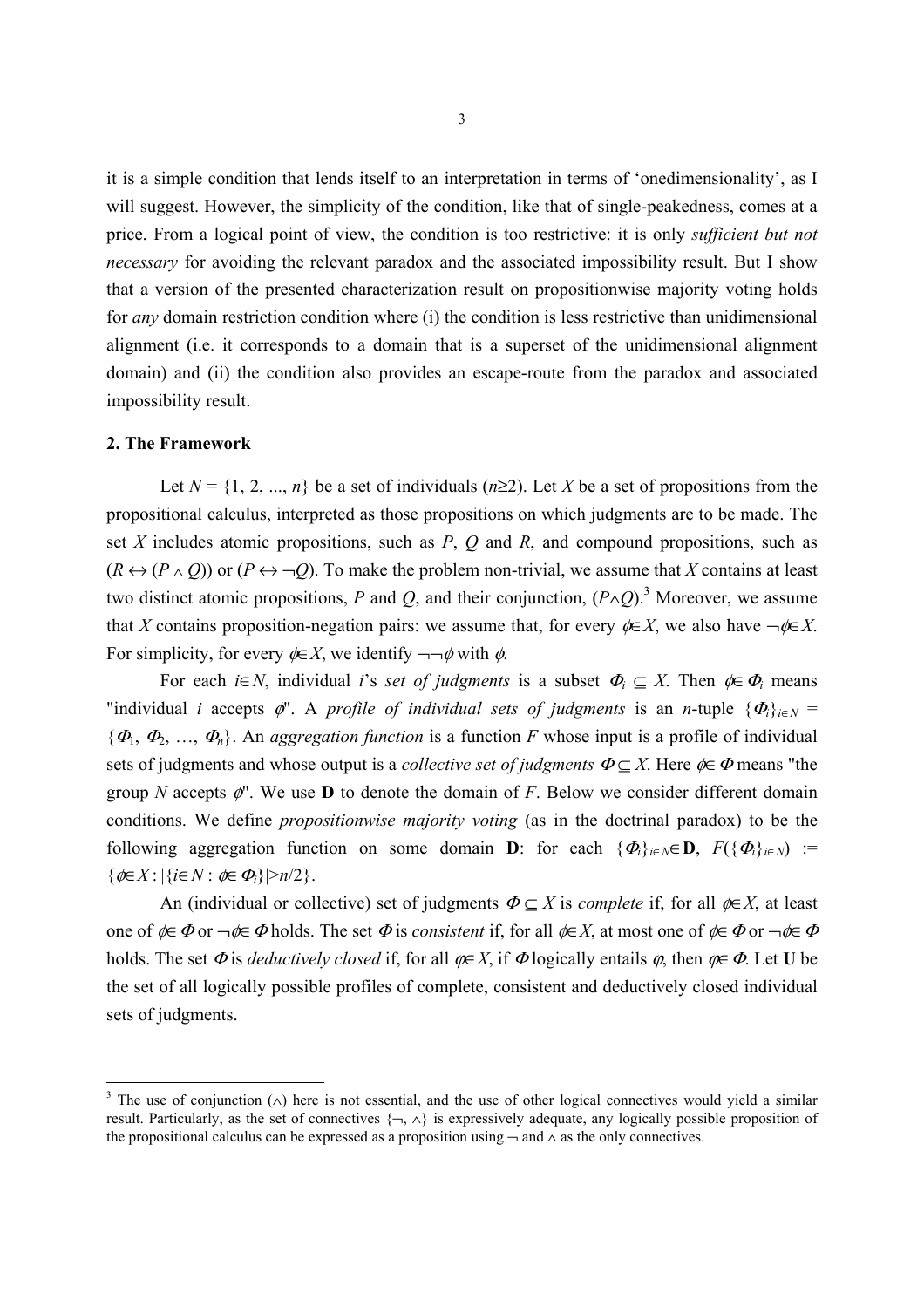it is a simple condition that lends itself to an interpretation in terms of 'onedimensionality', as I will suggest. However, the simplicity of the condition, like that of single-peakedness, comes at a price. From a logical point of view, the condition is too restrictive: it is only *sufficient but not necessary* for avoiding the relevant paradox and the associated impossibility result. But I show that a version of the presented characterization result on propositionwise majority voting holds for *any* domain restriction condition where (i) the condition is less restrictive than unidimensional alignment (i.e. it corresponds to a domain that is a superset of the unidimensional alignment domain) and (ii) the condition also provides an escape-route from the paradox and associated impossibility result.

# **2. The Framework**

1

Let  $N = \{1, 2, ..., n\}$  be a set of individuals ( $n \ge 2$ ). Let X be a set of propositions from the propositional calculus, interpreted as those propositions on which judgments are to be made. The set *X* includes atomic propositions, such as *P*, *Q* and *R*, and compound propositions, such as  $(R \leftrightarrow (P \land Q))$  or  $(P \leftrightarrow \neg Q)$ . To make the problem non-trivial, we assume that *X* contains at least two distinct atomic propositions, *P* and *Q*, and their conjunction,  $(P \land Q)$ .<sup>3</sup> Moreover, we assume that *X* contains proposition-negation pairs: we assume that, for every  $\phi \in X$ , we also have  $\neg \phi \in X$ . For simplicity, for every  $\phi \in X$ , we identify  $\neg\neg \phi$  with  $\phi$ .

For each *i*∈*N*, individual *i*'s *set of judgments* is a subset  $\Phi_i \subseteq X$ . Then  $\phi \in \Phi_i$  means "individual *i* accepts  $\phi$ ". A *profile of individual sets of judgments* is an *n*-tuple  $\{\phi_i\}_{i \in N}$  = {Φ1, Φ2, …, <sup>Φ</sup>*n*}. An *aggregation function* is a function *F* whose input is a profile of individual sets of judgments and whose output is a *collective set of judgments*  $\Phi \subset X$ . Here  $\phi \in \Phi$  means "the group *N* accepts  $\phi$ <sup>"</sup>. We use **D** to denote the domain of *F*. Below we consider different domain conditions. We define *propositionwise majority voting* (as in the doctrinal paradox) to be the following aggregation function on some domain **D**: for each  $\{\Phi_i\}_{i \in N} \in \mathbf{D}$ ,  $F(\{\Phi_i\}_{i \in N})$  :=  $\{\phi \in X : |\{i \in N : \phi \in \Phi_i\}| > n/2\}.$ 

An (individual or collective) set of judgments  $\Phi \subseteq X$  is *complete* if, for all  $\phi \in X$ , at least one of  $\phi \in \Phi$  or  $\neg \phi \in \Phi$  holds. The set  $\Phi$  is *consistent* if, for all  $\phi \in X$ , at most one of  $\phi \in \Phi$  or  $\neg \phi \in \Phi$ holds. The set  $\Phi$  is *deductively closed* if, for all  $\phi \in X$ , if  $\Phi$  logically entails  $\phi$ , then  $\phi \in \Phi$ . Let **U** be the set of all logically possible profiles of complete, consistent and deductively closed individual sets of judgments.

<sup>&</sup>lt;sup>3</sup> The use of conjunction ( $\wedge$ ) here is not essential, and the use of other logical connectives would yield a similar result. Particularly, as the set of connectives  $\{\neg, \wedge\}$  is expressively adequate, any logically possible proposition of the propositional calculus can be expressed as a proposition using ¬ and ∧ as the only connectives.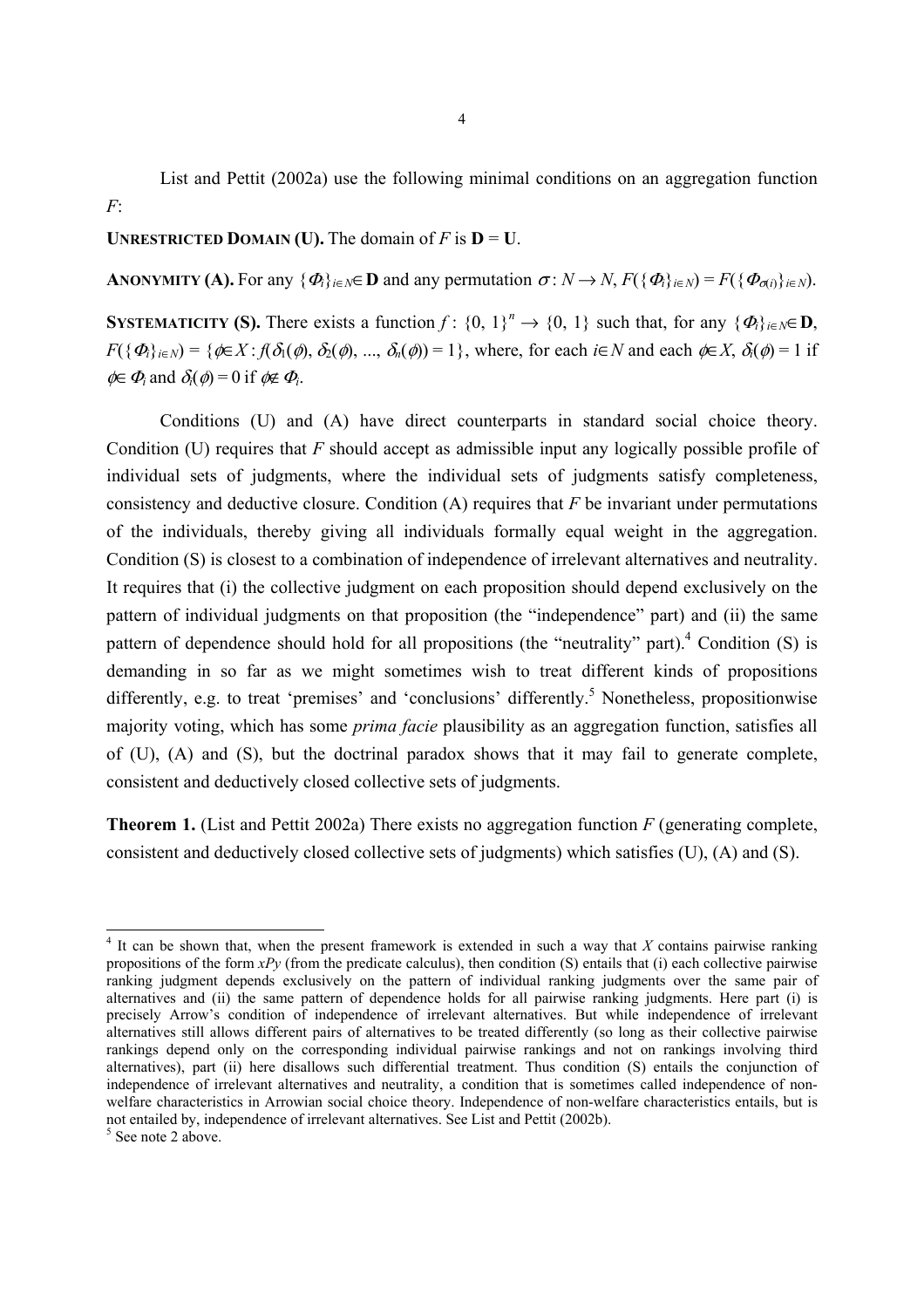List and Pettit (2002a) use the following minimal conditions on an aggregation function *F*:

# **UNRESTRICTED DOMAIN (U). The domain of**  $F$  **is**  $D = U$ **.**

**ANONYMITY (A).** For any  $\{\Phi_i\}_{i \in N} \in \mathbf{D}$  and any permutation  $\sigma : N \to N$ ,  $F(\{\Phi_i\}_{i \in N}) = F(\{\Phi_{\sigma(i)}\}_{i \in N})$ .

**SYSTEMATICITY (S).** There exists a function  $f : \{0, 1\}^n \to \{0, 1\}$  such that, for any  $\{\Phi_i\}_{i \in \mathbb{N}} \in \mathbf{D}$ ,  $F({\phi_i}_{i \in N}) = {\phi \in X : f(\delta_1(\phi), \delta_2(\phi), ..., \delta_n(\phi)) = 1}$ , where, for each *i*∈*N* and each  $\phi \in X$ ,  $\delta_i(\phi) = 1$  if  $\phi \in \Phi_i$  and  $\delta_i(\phi) = 0$  if  $\phi \notin \Phi_i$ .

 Conditions (U) and (A) have direct counterparts in standard social choice theory. Condition (U) requires that *F* should accept as admissible input any logically possible profile of individual sets of judgments, where the individual sets of judgments satisfy completeness, consistency and deductive closure. Condition (A) requires that *F* be invariant under permutations of the individuals, thereby giving all individuals formally equal weight in the aggregation. Condition (S) is closest to a combination of independence of irrelevant alternatives and neutrality. It requires that (i) the collective judgment on each proposition should depend exclusively on the pattern of individual judgments on that proposition (the "independence" part) and (ii) the same pattern of dependence should hold for all propositions (the "neutrality" part).<sup>4</sup> Condition (S) is demanding in so far as we might sometimes wish to treat different kinds of propositions differently, e.g. to treat 'premises' and 'conclusions' differently.<sup>5</sup> Nonetheless, propositionwise majority voting, which has some *prima facie* plausibility as an aggregation function, satisfies all of (U), (A) and (S), but the doctrinal paradox shows that it may fail to generate complete, consistent and deductively closed collective sets of judgments.

**Theorem 1.** (List and Pettit 2002a) There exists no aggregation function *F* (generating complete, consistent and deductively closed collective sets of judgments) which satisfies (U), (A) and (S).

<sup>&</sup>lt;sup>4</sup> It can be shown that, when the present framework is extended in such a way that *X* contains pairwise ranking propositions of the form *xPy* (from the predicate calculus), then condition (S) entails that (i) each collective pairwise ranking judgment depends exclusively on the pattern of individual ranking judgments over the same pair of alternatives and (ii) the same pattern of dependence holds for all pairwise ranking judgments. Here part (i) is precisely Arrow's condition of independence of irrelevant alternatives. But while independence of irrelevant alternatives still allows different pairs of alternatives to be treated differently (so long as their collective pairwise rankings depend only on the corresponding individual pairwise rankings and not on rankings involving third alternatives), part (ii) here disallows such differential treatment. Thus condition (S) entails the conjunction of independence of irrelevant alternatives and neutrality, a condition that is sometimes called independence of nonwelfare characteristics in Arrowian social choice theory. Independence of non-welfare characteristics entails, but is not entailed by, independence of irrelevant alternatives. See List and Pettit (2002b).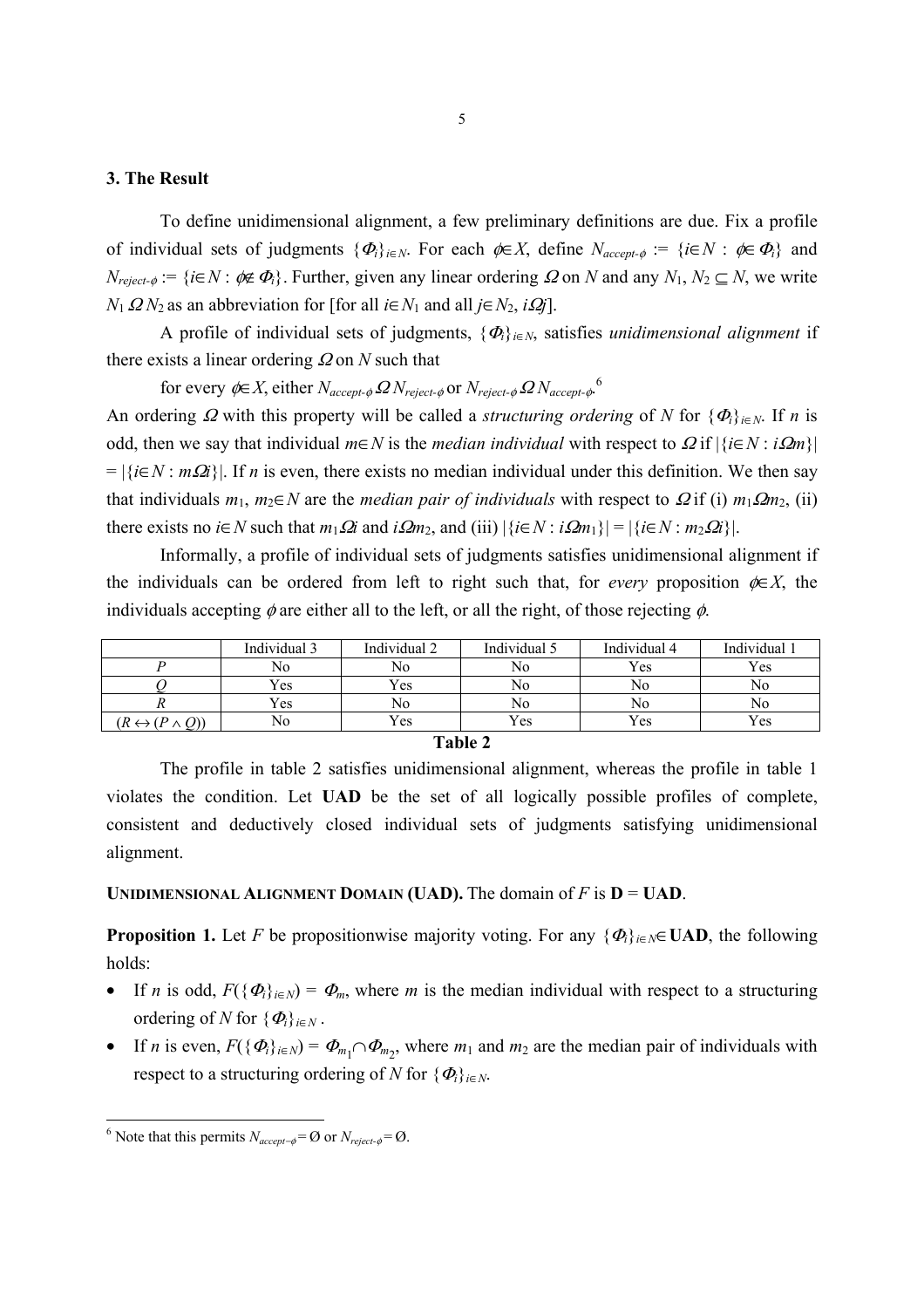# **3. The Result**

To define unidimensional alignment, a few preliminary definitions are due. Fix a profile of individual sets of judgments  $\{\Phi_i\}_{i \in N}$ . For each  $\phi \in X$ , define  $N_{accept-\phi} := \{i \in N : \phi \in \Phi_i\}$  and  $N_{reject-\phi}$  := {*i*∈*N* :  $\phi \notin \Phi_i$ }. Further, given any linear ordering  $\Omega$  on *N* and any  $N_1, N_2 \subseteq N$ , we write  $N_1 \Omega N_2$  as an abbreviation for [for all *i*∈*N*<sub>1</sub> and all *j*∈*N*<sub>2</sub>, *i* $\Omega$ *j*].

A profile of individual sets of judgments, {<sup>Φ</sup>*i*}*<sup>i</sup>*∈*<sup>N</sup>*, satisfies *unidimensional alignment* if there exists a linear ordering Ω on *N* such that

for every φ∈*X*, either *Naccept-*φ <sup>Ω</sup>*Nreject-*<sup>φ</sup> or *Nreject-*φ <sup>Ω</sup>*Naccept-*φ. 6

An ordering  $\Omega$  with this property will be called a *structuring ordering* of *N* for  $\{\Phi_i\}_{i\in N}$ . If *n* is odd, then we say that individual  $m \in N$  is the *median individual* with respect to  $\Omega$  if  $|\{i \in N : i\Omega m\}|$  $= |\{i \in N : m\Omega i\}|$ . If *n* is even, there exists no median individual under this definition. We then say that individuals  $m_1, m_2 \in N$  are the *median pair of individuals* with respect to  $\Omega$  if (i)  $m_1 \Omega m_2$ , (ii) there exists no *i*∈*N* such that  $m_1\Omega i$  and  $i\Omega m_2$ , and (iii)  $|\{i \in N : i\Omega m_1\}| = |\{i \in N : m_2\Omega i\}|$ .

Informally, a profile of individual sets of judgments satisfies unidimensional alignment if the individuals can be ordered from left to right such that, for *every* proposition  $\phi \in X$ , the individuals accepting  $\phi$  are either all to the left, or all the right, of those rejecting  $\phi$ .

|                                      | $\sim$<br>Individual 3 | Individual 2 | Individual 5 | Individual 4 | Individual 1 |
|--------------------------------------|------------------------|--------------|--------------|--------------|--------------|
|                                      | No                     | No           | No           | Yes          | Yes          |
|                                      | Yes                    | Yes          | No           | No           | No           |
| $\bf{v}$                             | Yes                    | No           | No           | No           | No           |
| $\mathcal{P}$<br>$R \leftrightarrow$ | No                     | Yes          | Yes          | Yes          | Yes          |
| $T-1.1.2$                            |                        |              |              |              |              |

| anı<br>16 |  |
|-----------|--|
|-----------|--|

The profile in table 2 satisfies unidimensional alignment, whereas the profile in table 1 violates the condition. Let **UAD** be the set of all logically possible profiles of complete, consistent and deductively closed individual sets of judgments satisfying unidimensional alignment.

## **UNIDIMENSIONAL ALIGNMENT DOMAIN (UAD).** The domain of  $F$  is  $D = UAD$ .

**Proposition 1.** Let *F* be propositionwise majority voting. For any  $\{\Phi_i\}_{i \in N} \in \text{UAD}$ , the following holds:

- If *n* is odd,  $F(\{\Phi_i\}_{i \in N}) = \Phi_m$ , where *m* is the median individual with respect to a structuring ordering of *N* for  $\{\Phi_i\}_{i \in N}$ .
- If *n* is even,  $F(\{\Phi_i\}_{i \in N}) = \Phi_{m_1} \cap \Phi_{m_2}$ , where  $m_1$  and  $m_2$  are the median pair of individuals with respect to a structuring ordering of *N* for  $\{\Phi_i\}_{i \in N}$ .

<sup>&</sup>lt;sup>6</sup> Note that this permits *N<sub>accept→</sub>* = Ø or *N<sub>reject-* $\phi$ </sub> = Ø.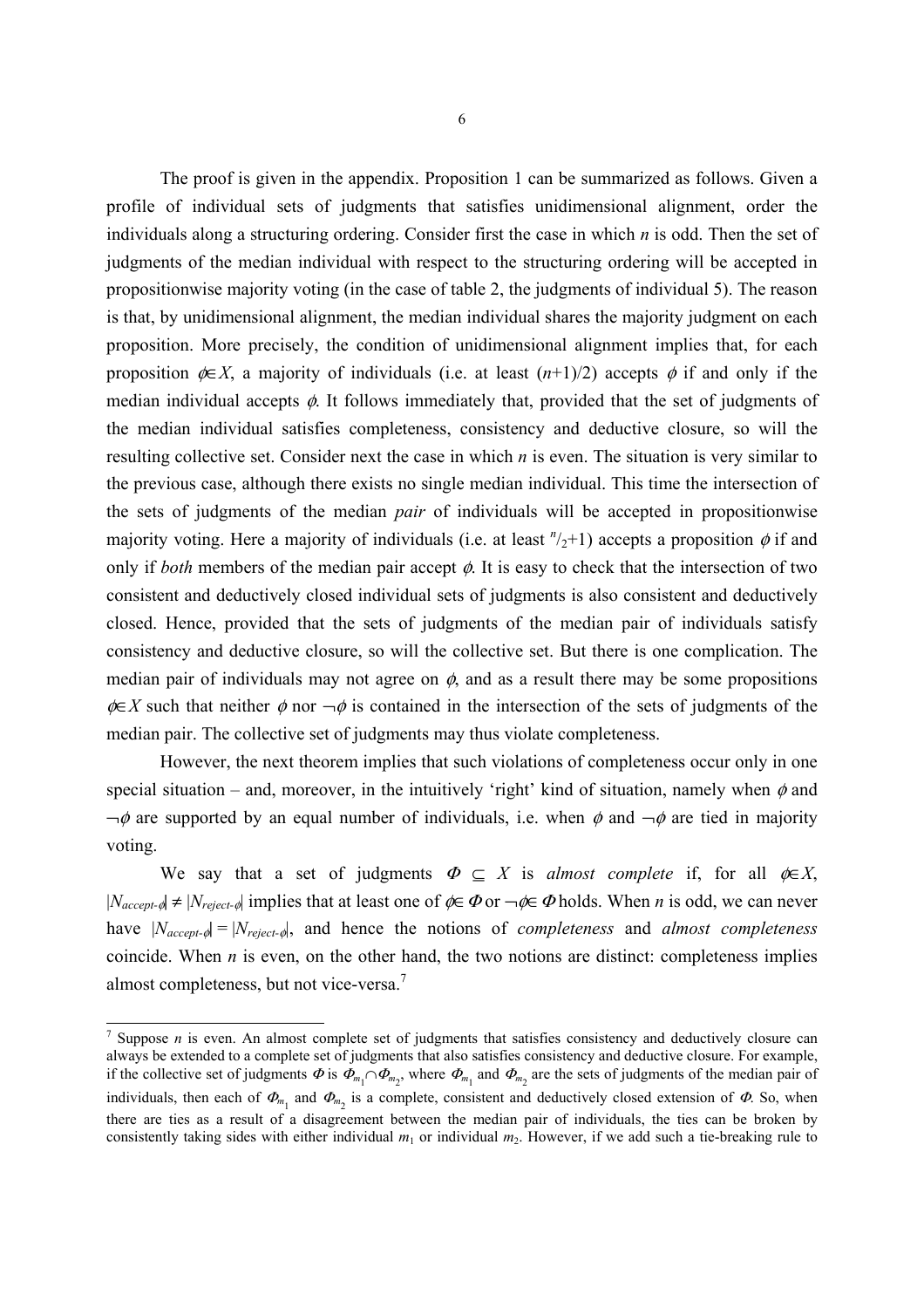The proof is given in the appendix. Proposition 1 can be summarized as follows. Given a profile of individual sets of judgments that satisfies unidimensional alignment, order the individuals along a structuring ordering. Consider first the case in which *n* is odd. Then the set of judgments of the median individual with respect to the structuring ordering will be accepted in propositionwise majority voting (in the case of table 2, the judgments of individual 5). The reason is that, by unidimensional alignment, the median individual shares the majority judgment on each proposition. More precisely, the condition of unidimensional alignment implies that, for each proposition  $\phi \in X$ , a majority of individuals (i.e. at least  $(n+1)/2$ ) accepts  $\phi$  if and only if the median individual accepts  $\phi$ . It follows immediately that, provided that the set of judgments of the median individual satisfies completeness, consistency and deductive closure, so will the resulting collective set. Consider next the case in which *n* is even. The situation is very similar to the previous case, although there exists no single median individual. This time the intersection of the sets of judgments of the median *pair* of individuals will be accepted in propositionwise majority voting. Here a majority of individuals (i.e. at least  $\frac{n}{2}+1$ ) accepts a proposition  $\phi$  if and only if *both* members of the median pair accept  $\phi$ . It is easy to check that the intersection of two consistent and deductively closed individual sets of judgments is also consistent and deductively closed. Hence, provided that the sets of judgments of the median pair of individuals satisfy consistency and deductive closure, so will the collective set. But there is one complication. The median pair of individuals may not agree on  $\phi$ , and as a result there may be some propositions  $\phi \in X$  such that neither  $\phi$  nor  $\neg \phi$  is contained in the intersection of the sets of judgments of the median pair. The collective set of judgments may thus violate completeness.

 However, the next theorem implies that such violations of completeness occur only in one special situation – and, moreover, in the intuitively 'right' kind of situation, namely when  $\phi$  and  $\neg \phi$  are supported by an equal number of individuals, i.e. when  $\phi$  and  $\neg \phi$  are tied in majority voting.

We say that a set of judgments  $\Phi \subseteq X$  is *almost complete* if, for all  $\phi \in X$ , |*Naccept-*φ| ≠ |*Nreject-*φ| implies that at least one of φ∈Φ or ¬φ∈Φ holds. When *n* is odd, we can never have  $|N_{accept\text{-}\phi}| = |N_{reject\text{-}\phi}|$ , and hence the notions of *completeness* and *almost completeness* coincide. When  $n$  is even, on the other hand, the two notions are distinct: completeness implies almost completeness, but not vice-versa.<sup>7</sup>

<sup>&</sup>lt;sup>7</sup> Suppose *n* is even. An almost complete set of judgments that satisfies consistency and deductively closure can always be extended to a complete set of judgments that also satisfies consistency and deductive closure. For example, if the collective set of judgments  $\Phi$  is  $\Phi_{m_1} \cap \Phi_{m_2}$ , where  $\Phi_{m_1}$  and  $\Phi_{m_2}$  are the sets of judgments of the median pair of individuals, then each of  $\Phi_{m_1}$  and  $\Phi_{m_2}$  is a complete, consistent and deductively closed extension of  $\Phi$ . So, when there are ties as a result of a disagreement between the median pair of individuals, the ties can be broken by consistently taking sides with either individual  $m_1$  or individual  $m_2$ . However, if we add such a tie-breaking rule to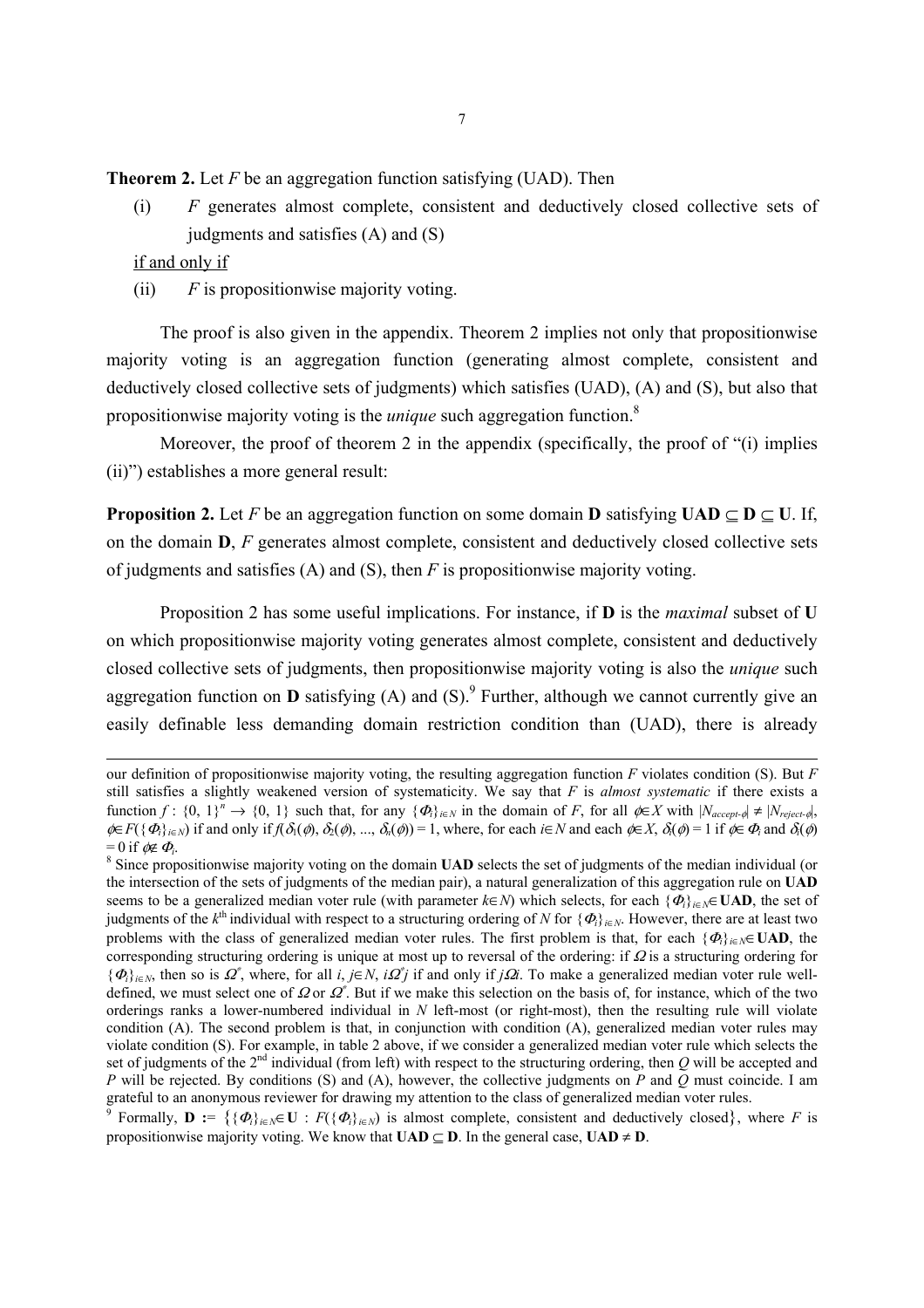**Theorem 2.** Let *F* be an aggregation function satisfying (UAD). Then

(i) *F* generates almost complete, consistent and deductively closed collective sets of judgments and satisfies  $(A)$  and  $(S)$ 

if and only if

 $\overline{a}$ 

(ii) *F* is propositionwise majority voting.

The proof is also given in the appendix. Theorem 2 implies not only that propositionwise majority voting is an aggregation function (generating almost complete, consistent and deductively closed collective sets of judgments) which satisfies (UAD), (A) and (S), but also that propositionwise majority voting is the *unique* such aggregation function.8

Moreover, the proof of theorem 2 in the appendix (specifically, the proof of "(i) implies (ii)") establishes a more general result:

**Proposition 2.** Let *F* be an aggregation function on some domain **D** satisfying  $\text{UAD} \subseteq \text{D} \subseteq \text{U}$ . If, on the domain **D**, *F* generates almost complete, consistent and deductively closed collective sets of judgments and satisfies (A) and (S), then *F* is propositionwise majority voting.

Proposition 2 has some useful implications. For instance, if **D** is the *maximal* subset of **U** on which propositionwise majority voting generates almost complete, consistent and deductively closed collective sets of judgments, then propositionwise majority voting is also the *unique* such aggregation function on **D** satisfying (A) and (S).<sup>9</sup> Further, although we cannot currently give an easily definable less demanding domain restriction condition than (UAD), there is already

our definition of propositionwise majority voting, the resulting aggregation function *F* violates condition (S). But *F* still satisfies a slightly weakened version of systematicity. We say that *F* is *almost systematic* if there exists a function  $f: \{0, 1\}^n \to \{0, 1\}$  such that, for any  $\{\Phi_i\}_{i \in N}$  in the domain of *F*, for all  $\phi \in X$  with  $|N_{accel} \neq |N_{reject-\phi}|$ ,  $\phi \in F(\{\Phi_i\}_{i \in N})$  if and only if  $f(\delta_1(\phi), \delta_2(\phi), ..., \delta_n(\phi)) = 1$ , where, for each  $i \in N$  and each  $\phi \in X$ ,  $\delta_i(\phi) = 1$  if  $\phi \in \Phi_i$  and  $\delta_i(\phi) = 0$  if  $\phi \notin \Phi$ .

<sup>=</sup> <sup>0</sup> if φ∉<sup>Φ</sup>*i*. 8 Since propositionwise majority voting on the domain **UAD** selects the set of judgments of the median individual (or the intersection of the sets of judgments of the median pair), a natural generalization of this aggregation rule on **UAD**  seems to be a generalized median voter rule (with parameter  $k \in N$ ) which selects, for each  $\{\Phi_i\}_{i \in N} \in \mathbf{UAD}$ , the set of judgments of the  $k^{\text{th}}$  individual with respect to a structuring ordering of *N* for  $\{\Phi_i\}_{i\in N}$ . However, there are at least two problems with the class of generalized median voter rules. The first problem is that, for each  $\{\Phi_i\}_{i\in\mathcal{N}}\in \mathbf{UAD}$ , the corresponding structuring ordering is unique at most up to reversal of the ordering: if  $\Omega$  is a structuring ordering for  $\{\Phi_i\}_{i\in\mathbb{N}}$ , then so is  $\Omega^*$ , where, for all *i*,  $j\in\mathbb{N}$ ,  $i\Omega^*$  *j* if and only if  $j\Omega$ *i*. To make a generalized median voter rule welldefined, we must select one of  $\Omega$  or  $\Omega^*$ . But if we make this selection on the basis of, for instance, which of the two orderings ranks a lower-numbered individual in *N* left-most (or right-most), then the resulting rule will violate condition (A). The second problem is that, in conjunction with condition (A), generalized median voter rules may violate condition (S). For example, in table 2 above, if we consider a generalized median voter rule which selects the set of judgments of the 2nd individual (from left) with respect to the structuring ordering, then *Q* will be accepted and *P* will be rejected. By conditions (S) and (A), however, the collective judgments on *P* and *Q* must coincide. I am grateful to an anonymous reviewer for drawing my attention to the class of generalized median voter rules.

<sup>&</sup>lt;sup>9</sup> Formally, **D** :=  $\{ {\{\varPhi_i\}}_{i \in N} \in U : F({\{\varPhi_i\}}_{i \in N}) \text{ is almost complete, consistent and deductively closed} \}$ , where *F* is propositionwise majority voting. We know that  $UAD \subset D$ . In the general case,  $UAD \neq D$ .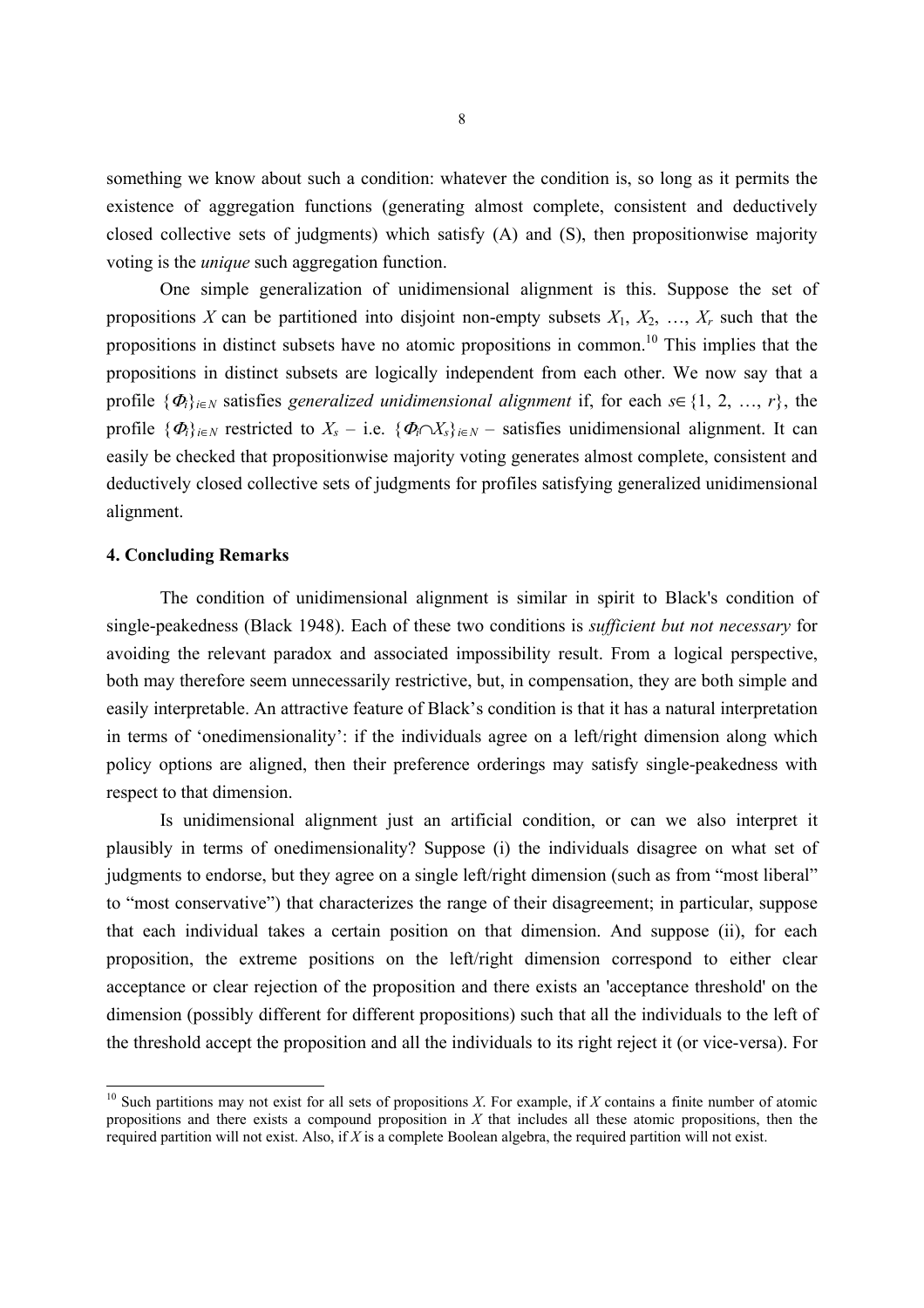something we know about such a condition: whatever the condition is, so long as it permits the existence of aggregation functions (generating almost complete, consistent and deductively closed collective sets of judgments) which satisfy (A) and (S), then propositionwise majority voting is the *unique* such aggregation function.

One simple generalization of unidimensional alignment is this. Suppose the set of propositions *X* can be partitioned into disjoint non-empty subsets  $X_1, X_2, \ldots, X_r$  such that the propositions in distinct subsets have no atomic propositions in common.10 This implies that the propositions in distinct subsets are logically independent from each other. We now say that a profile  $\{\Phi_i\}_{i \in N}$  satisfies *generalized unidimensional alignment* if, for each  $s \in \{1, 2, ..., r\}$ , the profile  $\{\Phi_i\}_{i \in N}$  restricted to  $X_s$  – i.e.  $\{\Phi_i \cap X_s\}_{i \in N}$  – satisfies unidimensional alignment. It can easily be checked that propositionwise majority voting generates almost complete, consistent and deductively closed collective sets of judgments for profiles satisfying generalized unidimensional alignment.

## **4. Concluding Remarks**

1

The condition of unidimensional alignment is similar in spirit to Black's condition of single-peakedness (Black 1948). Each of these two conditions is *sufficient but not necessary* for avoiding the relevant paradox and associated impossibility result. From a logical perspective, both may therefore seem unnecessarily restrictive, but, in compensation, they are both simple and easily interpretable. An attractive feature of Black's condition is that it has a natural interpretation in terms of 'onedimensionality': if the individuals agree on a left/right dimension along which policy options are aligned, then their preference orderings may satisfy single-peakedness with respect to that dimension.

Is unidimensional alignment just an artificial condition, or can we also interpret it plausibly in terms of onedimensionality? Suppose (i) the individuals disagree on what set of judgments to endorse, but they agree on a single left/right dimension (such as from "most liberal" to "most conservative") that characterizes the range of their disagreement; in particular, suppose that each individual takes a certain position on that dimension. And suppose (ii), for each proposition, the extreme positions on the left/right dimension correspond to either clear acceptance or clear rejection of the proposition and there exists an 'acceptance threshold' on the dimension (possibly different for different propositions) such that all the individuals to the left of the threshold accept the proposition and all the individuals to its right reject it (or vice-versa). For

<sup>&</sup>lt;sup>10</sup> Such partitions may not exist for all sets of propositions *X*. For example, if *X* contains a finite number of atomic propositions and there exists a compound proposition in *X* that includes all these atomic propositions, then the required partition will not exist. Also, if *X* is a complete Boolean algebra, the required partition will not exist.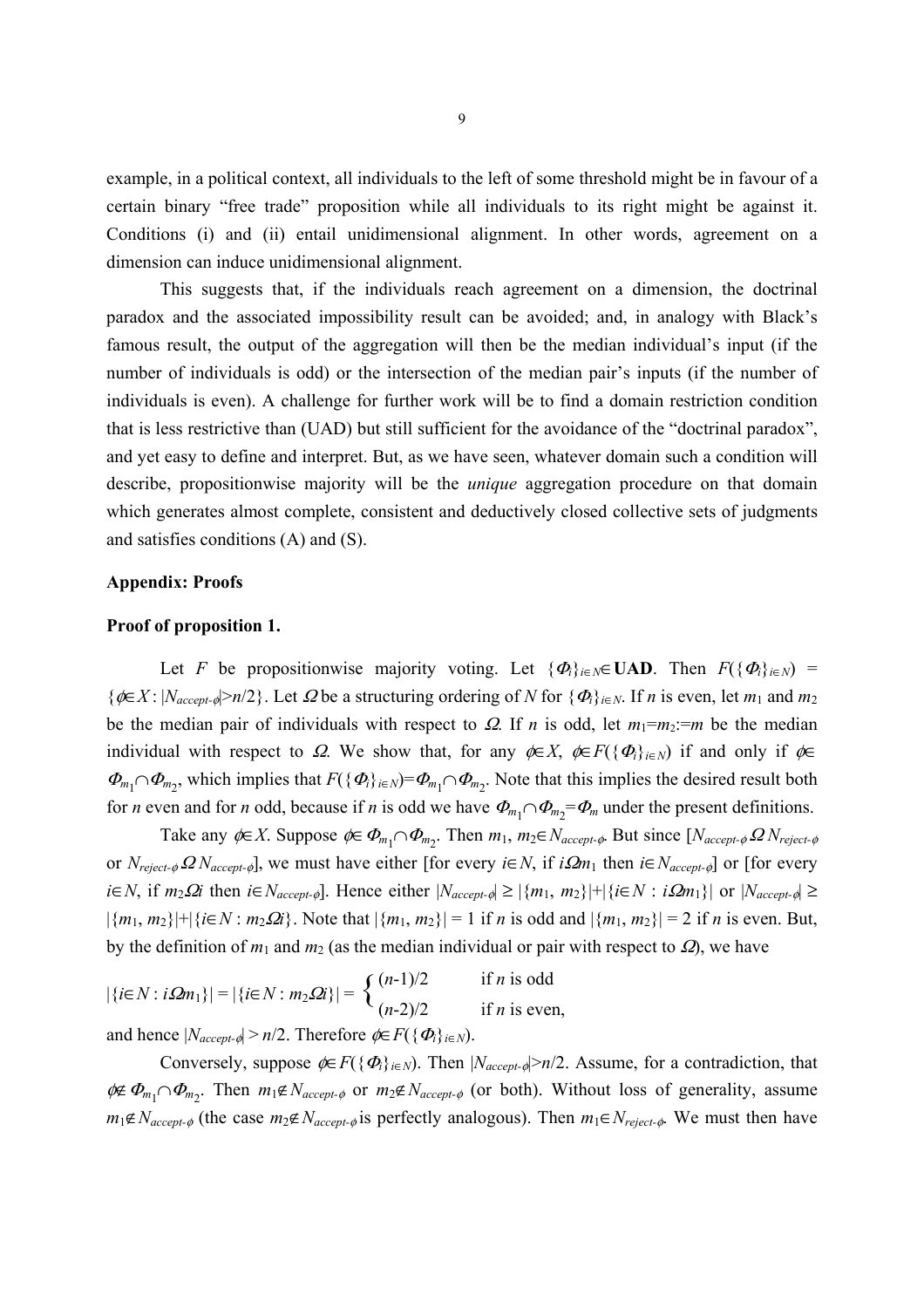example, in a political context, all individuals to the left of some threshold might be in favour of a certain binary "free trade" proposition while all individuals to its right might be against it. Conditions (i) and (ii) entail unidimensional alignment. In other words, agreement on a dimension can induce unidimensional alignment.

This suggests that, if the individuals reach agreement on a dimension, the doctrinal paradox and the associated impossibility result can be avoided; and, in analogy with Black's famous result, the output of the aggregation will then be the median individual's input (if the number of individuals is odd) or the intersection of the median pair's inputs (if the number of individuals is even). A challenge for further work will be to find a domain restriction condition that is less restrictive than (UAD) but still sufficient for the avoidance of the "doctrinal paradox", and yet easy to define and interpret. But, as we have seen, whatever domain such a condition will describe, propositionwise majority will be the *unique* aggregation procedure on that domain which generates almost complete, consistent and deductively closed collective sets of judgments and satisfies conditions (A) and (S).

## **Appendix: Proofs**

## **Proof of proposition 1.**

Let *F* be propositionwise majority voting. Let  $\{\Phi_i\}_{i \in N} \in \text{UAD}$ . Then  $F(\{\Phi_i\}_{i \in N}) =$  $\{\phi \in X : |N_{accept-\phi}| > n/2\}$ . Let  $\Omega$  be a structuring ordering of *N* for  $\{\phi_i\}_{i \in N}$ . If *n* is even, let  $m_1$  and  $m_2$ be the median pair of individuals with respect to  $\Omega$ . If *n* is odd, let  $m_1 = m_2 = m$  be the median individual with respect to  $\Omega$ . We show that, for any  $\phi \in X$ ,  $\phi \in F(\{\Phi_i\}_{i \in N})$  if and only if  $\phi \in$  $\Phi_{m_1} \cap \Phi_{m_2}$ , which implies that  $F(\{\Phi_i\}_{i \in N}) = \Phi_{m_1} \cap \Phi_{m_2}$ . Note that this implies the desired result both for *n* even and for *n* odd, because if *n* is odd we have  $\Phi_{m_1} \cap \Phi_{m_2} = \Phi_m$  under the present definitions.

Take any  $\phi \in X$ . Suppose  $\phi \in \Phi_{m_1} \cap \Phi_{m_2}$ . Then  $m_1, m_2 \in N_{accept-\phi}$ . But since  $[N_{accept-\phi} \Omega N_{reject-\phi}]\$ or  $N_{reject-\phi} \Omega N_{accept-\phi}$ , we must have either [for every  $i \in N$ , if  $i\Omega m_1$  then  $i \in N_{accept-\phi}$ ] or [for every *i*∈*N*, if *m*<sub>2</sub> $\Omega$ *i* then *i*∈*N<sub>accept-* $\phi$ </sub>]. Hence either  $|N_{accept} \phi| \geq |\{m_1, m_2\}| + |\{i \in N : i\Omega m_1\}|$  or  $|N_{accept} \phi| \geq$  $|\{m_1, m_2\}| + |\{i \in N : m_2 \Omega i\}|$ . Note that  $|\{m_1, m_2\}| = 1$  if *n* is odd and  $|\{m_1, m_2\}| = 2$  if *n* is even. But, by the definition of  $m_1$  and  $m_2$  (as the median individual or pair with respect to  $\Omega$ ), we have

$$
|\{i \in N : i\Omega m_1\}| = |\{i \in N : m_2 \Omega i\}| = \begin{cases} (n-1)/2 & \text{if } n \text{ is odd} \\ (n-2)/2 & \text{if } n \text{ is even,} \end{cases}
$$

and hence  $|N_{accept-\phi}| > n/2$ . Therefore  $\phi \in F(\{\Phi_i\}_{i \in N})$ .

Conversely, suppose  $\phi \in F(\{\Phi_i\}_{i \in N})$ . Then  $|N_{accept-\phi}| > n/2$ . Assume, for a contradiction, that <sup>φ</sup>∉<sup>Φ</sup>*m*<sup>1</sup> ∩<sup>Φ</sup>*m*<sup>2</sup> . Then *m*1∉*Naccept-*φ or *m*2∉*Naccept-*φ (or both). Without loss of generality, assume *m*1∉*Naccept-*φ (the case *m*2∉*Naccept-*φ is perfectly analogous). Then *m*1∈*Nreject-*φ. We must then have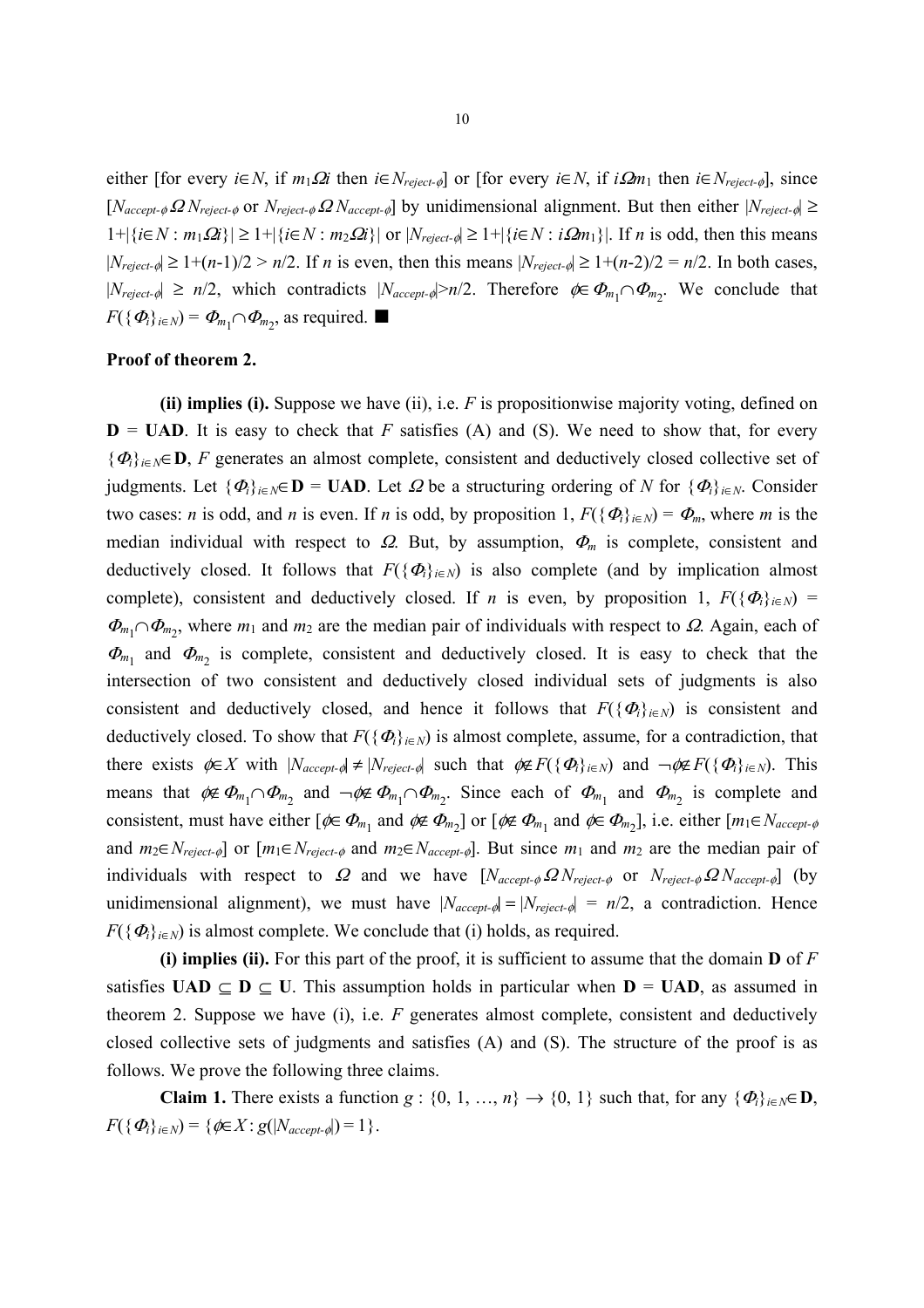either [for every *i*∈*N*, if  $m_1\Omega$ *i* then  $i \in N_{reject-\phi}$ ] or [for every  $i \in N$ , if  $i\Omega m_1$  then  $i \in N_{reject-\phi}$ ], since [*Naccept-*φ <sup>Ω</sup>*Nreject-*<sup>φ</sup> or *Nreject-*φ <sup>Ω</sup>*Naccept-*φ] by unidimensional alignment. But then either |*Nreject-*φ| ≥ 1+|{*i*∈*N* : *m*1<sup>Ω</sup>*i*}| ≥ 1+|{*i*∈*N* : *m*2<sup>Ω</sup>*i*}| or |*Nreject-*φ| ≥ 1+|{*i*∈*N* : *i*Ω*m*1}|. If *n* is odd, then this means  $|N_{reject-*φ*}| \ge 1+(n-1)/2 > n/2$ . If *n* is even, then this means  $|N_{reject-*φ*}| \ge 1+(n-2)/2 = n/2$ . In both cases,  $|N_{reject-\phi}| \ge n/2$ , which contradicts  $|N_{accept-\phi}|>n/2$ . Therefore  $\phi \in \Phi_{m_1} \cap \Phi_{m_2}$ . We conclude that  $F(\{\Phi_i\}_{i \in N}) = \Phi_{m_1} \cap \Phi_{m_2}$ , as required. ■

## **Proof of theorem 2.**

**(ii) implies (i).** Suppose we have (ii), i.e. *F* is propositionwise majority voting, defined on  $D = UAD$ . It is easy to check that *F* satisfies (A) and (S). We need to show that, for every {<sup>Φ</sup>*i*}*<sup>i</sup>*∈*<sup>N</sup>*∈**D**, *F* generates an almost complete, consistent and deductively closed collective set of judgments. Let  $\{\Phi_i\}_{i \in N} \in \mathbf{D} = \mathbf{UAD}$ . Let  $\Omega$  be a structuring ordering of *N* for  $\{\Phi_i\}_{i \in N}$ . Consider two cases: *n* is odd, and *n* is even. If *n* is odd, by proposition 1,  $F(\{\Phi_i\}_{i \in N}) = \Phi_m$ , where *m* is the median individual with respect to  $\Omega$ . But, by assumption,  $\Phi_m$  is complete, consistent and deductively closed. It follows that  $F(\{\Phi_i\}_{i\in\mathbb{N}})$  is also complete (and by implication almost complete), consistent and deductively closed. If *n* is even, by proposition 1,  $F(\{\Phi_i\}_{i \in N})$  =  $\Phi_{m_1} \cap \Phi_{m_2}$ , where  $m_1$  and  $m_2$  are the median pair of individuals with respect to  $\Omega$ . Again, each of  $\Phi_{m_1}$  and  $\Phi_{m_2}$  is complete, consistent and deductively closed. It is easy to check that the intersection of two consistent and deductively closed individual sets of judgments is also consistent and deductively closed, and hence it follows that  $F(\{\Phi_i\}_{i\in N})$  is consistent and deductively closed. To show that  $F(\{\Phi_i\}_{i \in N})$  is almost complete, assume, for a contradiction, that there exists  $\phi \in X$  with  $|N_{accept} \phi| \neq |N_{reject} \phi|$  such that  $\phi \notin F(\{\Phi_i\}_{i \in N})$  and  $\neg \phi \notin F(\{\Phi_i\}_{i \in N})$ . This means that  $\phi \notin \Phi_{m_1} \cap \Phi_{m_2}$  and  $\neg \phi \notin \Phi_{m_1} \cap \Phi_{m_2}$ . Since each of  $\Phi_{m_1}$  and  $\Phi_{m_2}$  is complete and consistent, must have either  $[\phi \in \Phi_{m_1}$  and  $\phi \notin \Phi_{m_2}]$  or  $[\phi \notin \Phi_{m_1}$  and  $\phi \in \Phi_{m_2}]$ , i.e. either  $[m_1 \in N_{accept-\phi}]$ and  $m_2 \in N_{reject-\phi}$  or  $[m_1 \in N_{reject-\phi}]$  and  $m_2 \in N_{accept-\phi}$ . But since  $m_1$  and  $m_2$  are the median pair of individuals with respect to  $\Omega$  and we have  $[N_{accept\phi} \Omega N_{reject\phi} \Omega N_{reject\phi} \Omega N_{accept\phi}]$  (by unidimensional alignment), we must have  $|N_{accept\phi}| = |N_{reject\phi}| = n/2$ , a contradiction. Hence  $F({\phi_i}_{i \in N})$  is almost complete. We conclude that (i) holds, as required.

**(i) implies (ii).** For this part of the proof, it is sufficient to assume that the domain **D** of *F* satisfies  $\mathbf{UAD} \subseteq \mathbf{D} \subseteq \mathbf{U}$ . This assumption holds in particular when  $\mathbf{D} = \mathbf{UAD}$ , as assumed in theorem 2. Suppose we have (i), i.e. *F* generates almost complete, consistent and deductively closed collective sets of judgments and satisfies (A) and (S). The structure of the proof is as follows. We prove the following three claims.

**Claim 1.** There exists a function  $g : \{0, 1, ..., n\} \rightarrow \{0, 1\}$  such that, for any  $\{\Phi_i\}_{i \in N} \in \mathbb{D}$ , *F*({ $\Phi_i$ }<sub>*i*∈*N*</sub>) = { $\phi \in X : g(|N_{accept-1}|) = 1$ }.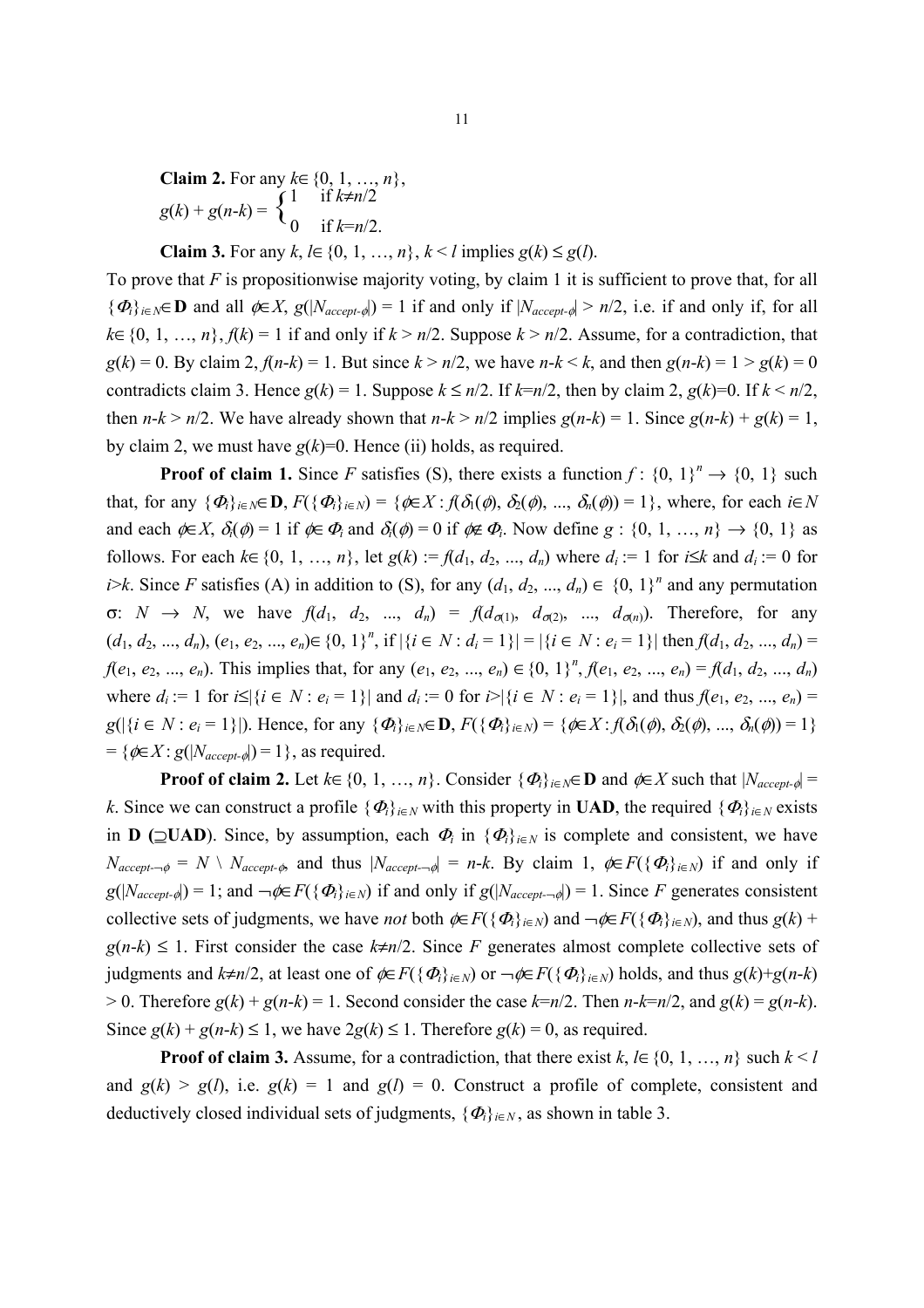**Claim 2.** For any *k*∈{0, 1, …, *n*},  $g(k) + g(n-k) = \begin{cases} 1 & \text{if } k \neq n/2 \\ 0 & \text{if } k=n/2. \end{cases}$ 

**Claim 3.** For any *k*, *l*∈{0, 1, …, *n*}, *k* < *l* implies *g*(*k*) ≤ *g*(*l*).

To prove that *F* is propositionwise majority voting, by claim 1 it is sufficient to prove that, for all  ${\phi}$ <sub>*i*</sub> $\in$ *N* $\in$  **D** and all  $\notin$ *Z*,  $g(|N_{accept\phi}|) = 1$  if and only if  $|N_{accept\phi}| > n/2$ , i.e. if and only if, for all  $k \in \{0, 1, ..., n\}, f(k) = 1$  if and only if  $k > n/2$ . Suppose  $k > n/2$ . Assume, for a contradiction, that  $g(k) = 0$ . By claim 2,  $f(n-k) = 1$ . But since  $k > n/2$ , we have  $n-k < k$ , and then  $g(n-k) = 1 > g(k) = 0$ contradicts claim 3. Hence  $g(k) = 1$ . Suppose  $k \le n/2$ . If  $k=n/2$ , then by claim 2,  $g(k)=0$ . If  $k < n/2$ , then  $n-k > n/2$ . We have already shown that  $n-k > n/2$  implies  $g(n-k) = 1$ . Since  $g(n-k) + g(k) = 1$ , by claim 2, we must have  $g(k)=0$ . Hence (ii) holds, as required.

**Proof of claim 1.** Since *F* satisfies (S), there exists a function  $f: \{0, 1\}^n \rightarrow \{0, 1\}$  such that, for any  $\{\Phi_i\}_{i \in \mathbb{N}} \in \mathbf{D}$ ,  $F(\{\Phi_i\}_{i \in \mathbb{N}}) = \{\phi \in X : f(\delta_1(\phi), \delta_2(\phi), ..., \delta_n(\phi)) = 1\}$ , where, for each  $i \in \mathbb{N}$ and each  $\phi \in X$ ,  $\delta_i(\phi) = 1$  if  $\phi \in \Phi_i$  and  $\delta_i(\phi) = 0$  if  $\phi \notin \Phi_i$ . Now define  $g : \{0, 1, ..., n\} \to \{0, 1\}$  as follows. For each  $k \in \{0, 1, ..., n\}$ , let  $g(k) := f(d_1, d_2, ..., d_n)$  where  $d_i := 1$  for *i*≤ $k$  and  $d_i := 0$  for *i*>*k*. Since *F* satisfies (A) in addition to (S), for any  $(d_1, d_2, ..., d_n) \in \{0, 1\}^n$  and any permutation σ: *N* → *N*, we have  $f(d_1, d_2, ..., d_n) = f(d_{σ(1)}, d_{σ(2)}, ..., d_{σ(n)})$ . Therefore, for any  $(d_1, d_2, ..., d_n)$ ,  $(e_1, e_2, ..., e_n) \in \{0, 1\}^n$ , if  $|\{i \in N : d_i = 1\}| = |\{i \in N : e_i = 1\}|$  then  $f(d_1, d_2, ..., d_n) =$  $f(e_1, e_2, ..., e_n)$ . This implies that, for any  $(e_1, e_2, ..., e_n) \in \{0, 1\}^n$ ,  $f(e_1, e_2, ..., e_n) = f(d_1, d_2, ..., d_n)$ where *d<sub>i</sub>* := 1 for *i*≤|{*i* ∈ *N* : *e<sub>i</sub>* = 1}| and *d<sub>i</sub>* := 0 for *i*>|{*i* ∈ *N* : *e<sub>i</sub>*</sub> = 1}|, and thus *f*(*e*<sub>1</sub>, *e*<sub>2</sub>, ..., *e<sub>n</sub>*) =  $g(\{\{i \in N : e_i = 1\}\})$ . Hence, for any  $\{\Phi_i\}_{i \in N} \in \mathbf{D}$ ,  $F(\{\Phi_i\}_{i \in N}) = \{\phi \in X : f(\delta_1(\phi), \delta_2(\phi), ..., \delta_n(\phi)) = 1\}$  $= {\phi \in X : g(|N_{accept-*o*|}) = 1}$ , as required.

**Proof of claim 2.** Let  $k \in \{0, 1, ..., n\}$ . Consider  $\{\Phi_i\}_{i \in \mathcal{N}} \in \mathbf{D}$  and  $\phi \in X$  such that  $|N_{accept-\phi}| =$ *k*. Since we can construct a profile  $\{\Phi_i\}_{i \in N}$  with this property in **UAD**, the required  $\{\Phi_i\}_{i \in N}$  exists in **D** ( $\supseteq$ **UAD**). Since, by assumption, each  $\Phi_i$  in  $\{\Phi_i\}_{i \in N}$  is complete and consistent, we have  $N_{accept\rightarrow\phi} = N \setminus N_{accept\rightarrow\phi}$ , and thus  $|N_{accept\rightarrow\phi}| = n-k$ . By claim 1,  $\phi \in F(\{\Phi_i\}_{i\in N})$  if and only if  $g(|N_{accept-0}|) = 1$ ; and  $\neg \phi \in F(\{\Phi_i\}_{i \in N})$  if and only if  $g(|N_{accept-0}|) = 1$ . Since *F* generates consistent collective sets of judgments, we have *not* both  $\phi \in F(\{\Phi_i\}_{i \in N})$  and  $\neg \phi \in F(\{\Phi_i\}_{i \in N})$ , and thus  $g(k)$  + *g*(*n*-*k*) ≤ 1. First consider the case  $k≠n/2$ . Since *F* generates almost complete collective sets of judgments and  $k \neq n/2$ , at least one of  $\phi \in F(\{\Phi_i\}_{i \in N})$  or  $\neg \phi \in F(\{\Phi_i\}_{i \in N})$  holds, and thus  $g(k)+g(n-k)$  $> 0$ . Therefore  $g(k) + g(n-k) = 1$ . Second consider the case  $k=n/2$ . Then  $n-k=n/2$ , and  $g(k) = g(n-k)$ . Since  $g(k) + g(n-k) \leq 1$ , we have  $2g(k) \leq 1$ . Therefore  $g(k) = 0$ , as required.

**Proof of claim 3.** Assume, for a contradiction, that there exist  $k, l \in \{0, 1, ..., n\}$  such  $k < l$ and  $g(k) > g(l)$ , i.e.  $g(k) = 1$  and  $g(l) = 0$ . Construct a profile of complete, consistent and deductively closed individual sets of judgments,  $\{\Phi_i\}_{i \in N}$ , as shown in table 3.